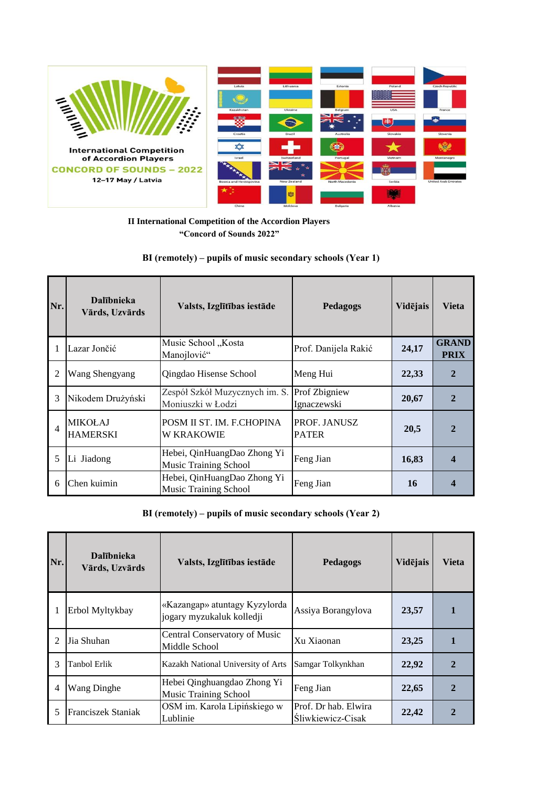

**II International Competition of the Accordion Players "Concord of Sounds 2022"**

## **BI (remotely) – pupils of music secondary schools (Year 1)**

| Nr.            | <b>Dalībnieka</b><br>Vārds, Uzvārds | Valsts, Izglītības iestāde                                  | Pedagogs                            | Vidējais | <b>Vieta</b>                |
|----------------|-------------------------------------|-------------------------------------------------------------|-------------------------------------|----------|-----------------------------|
|                | Lazar Jončić                        | Music School "Kosta<br>Manojlović"                          | Prof. Danijela Rakić                | 24,17    | <b>GRAND</b><br><b>PRIX</b> |
| 2              | Wang Shengyang                      | Qingdao Hisense School                                      | Meng Hui                            | 22,33    | 2                           |
| 3              | Nikodem Drużyński                   | Zespół Szkół Muzycznych im. S.<br>Moniuszki w Łodzi         | <b>Prof Zbigniew</b><br>Ignaczewski | 20,67    |                             |
| $\overline{4}$ | <b>MIKOŁAJ</b><br><b>HAMERSKI</b>   | POSM II ST. IM. F.CHOPINA<br>W KRAKOWIE                     | PROF. JANUSZ<br><b>PATER</b>        | 20,5     |                             |
| 5              | Li Jiadong                          | Hebei, QinHuangDao Zhong Yi<br><b>Music Training School</b> | Feng Jian                           | 16,83    | 4                           |
| 6              | Chen kuimin                         | Hebei, QinHuangDao Zhong Yi<br><b>Music Training School</b> | Feng Jian                           | 16       |                             |

**BI (remotely) – pupils of music secondary schools (Year 2)**

| Nr.            | <b>Dalībnieka</b><br>Vārds, Uzvārds | Valsts, Izglītības iestāde                                  | Pedagogs                                  | Vidējais | <b>Vieta</b>  |
|----------------|-------------------------------------|-------------------------------------------------------------|-------------------------------------------|----------|---------------|
|                | Erbol Myltykbay                     | «Kazangap» atuntagy Kyzylorda<br>jogary myzukaluk kolledji  | Assiya Borangylova                        | 23,57    |               |
|                | Jia Shuhan                          | Central Conservatory of Music<br>Middle School              | Xu Xiaonan                                | 23,25    |               |
| 3              | Tanbol Erlik                        | Kazakh National University of Arts                          | Samgar Tolkynkhan                         | 22,92    |               |
| $\overline{4}$ | Wang Dinghe                         | Hebei Qinghuangdao Zhong Yi<br><b>Music Training School</b> | Feng Jian                                 | 22,65    | $\mathcal{D}$ |
| 5              | Franciszek Staniak                  | OSM im. Karola Lipińskiego w<br>Lublinie                    | Prof. Dr hab. Elwira<br>Śliwkiewicz-Cisak | 22,42    |               |